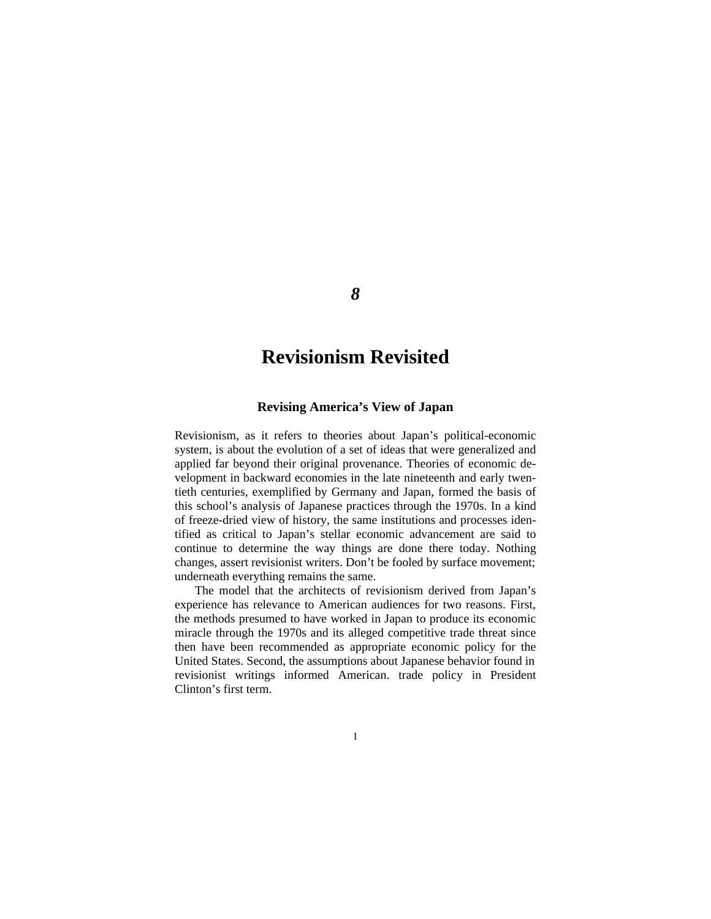*8*

### **Revising America's View of Japan**

Revisionism, as it refers to theories about Japan's political-economic system, is about the evolution of a set of ideas that were generalized and applied far beyond their original provenance. Theories of economic development in backward economies in the late nineteenth and early twentieth centuries, exemplified by Germany and Japan, formed the basis of this school's analysis of Japanese practices through the 1970s. In a kind of freeze-dried view of history, the same institutions and processes identified as critical to Japan's stellar economic advancement are said to continue to determine the way things are done there today. Nothing changes, assert revisionist writers. Don't be fooled by surface movement; underneath everything remains the same.

The model that the architects of revisionism derived from Japan's experience has relevance to American audiences for two reasons. First, the methods presumed to have worked in Japan to produce its economic miracle through the 1970s and its alleged competitive trade threat since then have been recommended as appropriate economic policy for the United States. Second, the assumptions about Japanese behavior found in revisionist writings informed American. trade policy in President Clinton's first term.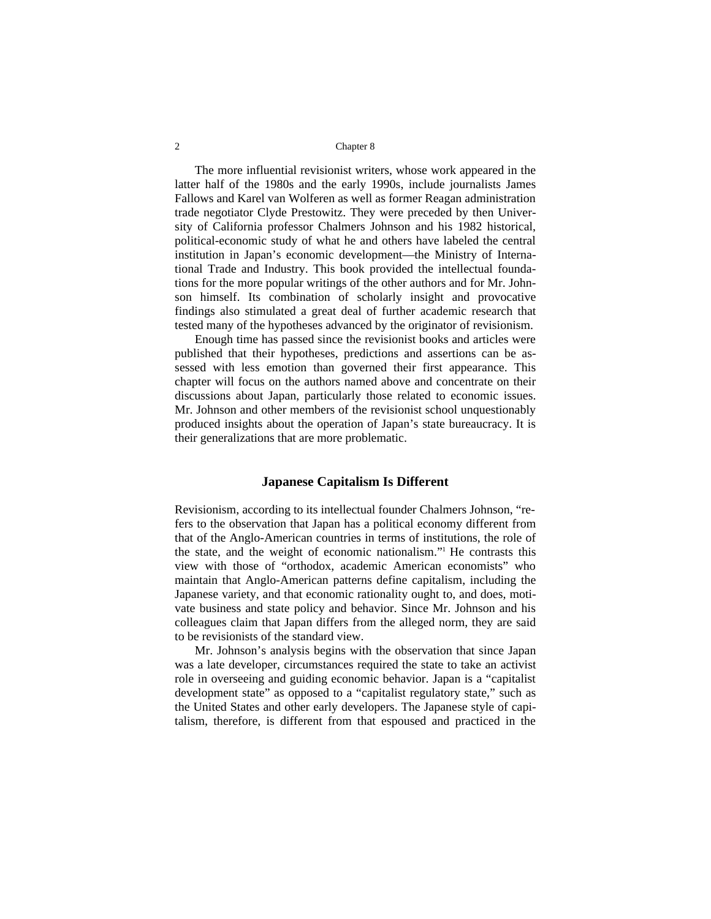The more influential revisionist writers, whose work appeared in the latter half of the 1980s and the early 1990s, include journalists James Fallows and Karel van Wolferen as well as former Reagan administration trade negotiator Clyde Prestowitz. They were preceded by then University of California professor Chalmers Johnson and his 1982 historical, political-economic study of what he and others have labeled the central institution in Japan's economic development—the Ministry of International Trade and Industry. This book provided the intellectual foundations for the more popular writings of the other authors and for Mr. Johnson himself. Its combination of scholarly insight and provocative findings also stimulated a great deal of further academic research that tested many of the hypotheses advanced by the originator of revisionism.

Enough time has passed since the revisionist books and articles were published that their hypotheses, predictions and assertions can be assessed with less emotion than governed their first appearance. This chapter will focus on the authors named above and concentrate on their discussions about Japan, particularly those related to economic issues. Mr. Johnson and other members of the revisionist school unquestionably produced insights about the operation of Japan's state bureaucracy. It is their generalizations that are more problematic.

### **Japanese Capitalism Is Different**

Revisionism, according to its intellectual founder Chalmers Johnson, "refers to the observation that Japan has a political economy different from that of the Anglo-American countries in terms of institutions, the role of the state, and the weight of economic nationalism."<sup>1</sup> He contrasts this view with those of "orthodox, academic American economists" who maintain that Anglo-American patterns define capitalism, including the Japanese variety, and that economic rationality ought to, and does, motivate business and state policy and behavior. Since Mr. Johnson and his colleagues claim that Japan differs from the alleged norm, they are said to be revisionists of the standard view.

Mr. Johnson's analysis begins with the observation that since Japan was a late developer, circumstances required the state to take an activist role in overseeing and guiding economic behavior. Japan is a "capitalist development state" as opposed to a "capitalist regulatory state," such as the United States and other early developers. The Japanese style of capitalism, therefore, is different from that espoused and practiced in the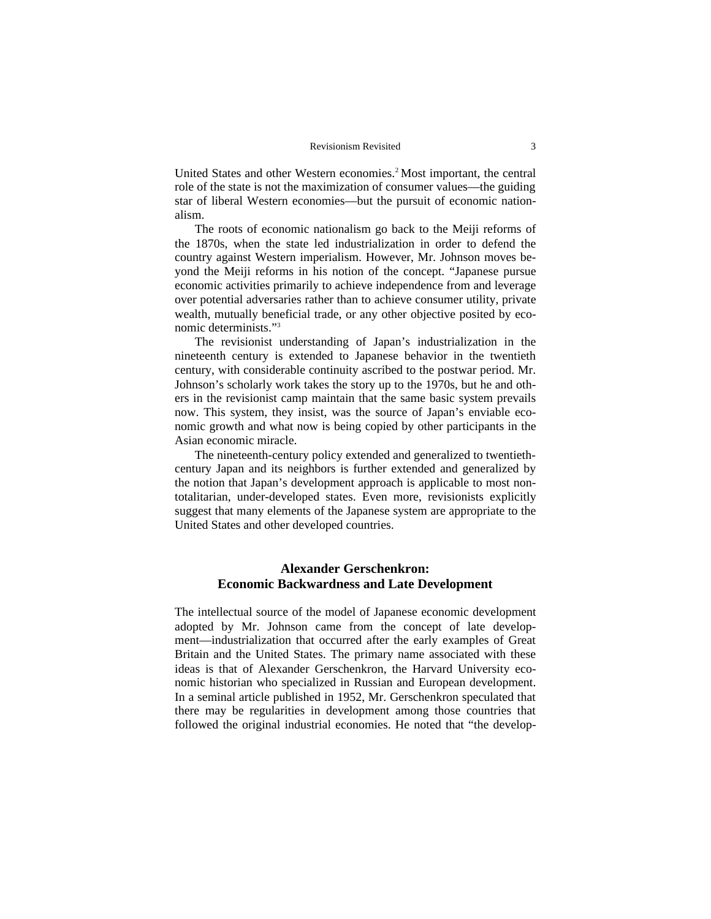United States and other Western economies.<sup>2</sup> Most important, the central role of the state is not the maximization of consumer values—the guiding star of liberal Western economies—but the pursuit of economic nationalism.

The roots of economic nationalism go back to the Meiji reforms of the 1870s, when the state led industrialization in order to defend the country against Western imperialism. However, Mr. Johnson moves beyond the Meiji reforms in his notion of the concept. "Japanese pursue economic activities primarily to achieve independence from and leverage over potential adversaries rather than to achieve consumer utility, private wealth, mutually beneficial trade, or any other objective posited by economic determinists."<sup>3</sup>

The revisionist understanding of Japan's industrialization in the nineteenth century is extended to Japanese behavior in the twentieth century, with considerable continuity ascribed to the postwar period. Mr. Johnson's scholarly work takes the story up to the 1970s, but he and others in the revisionist camp maintain that the same basic system prevails now. This system, they insist, was the source of Japan's enviable economic growth and what now is being copied by other participants in the Asian economic miracle.

The nineteenth-century policy extended and generalized to twentiethcentury Japan and its neighbors is further extended and generalized by the notion that Japan's development approach is applicable to most nontotalitarian, under-developed states. Even more, revisionists explicitly suggest that many elements of the Japanese system are appropriate to the United States and other developed countries.

# **Alexander Gerschenkron: Economic Backwardness and Late Development**

The intellectual source of the model of Japanese economic development adopted by Mr. Johnson came from the concept of late development—industrialization that occurred after the early examples of Great Britain and the United States. The primary name associated with these ideas is that of Alexander Gerschenkron, the Harvard University economic historian who specialized in Russian and European development. In a seminal article published in 1952, Mr. Gerschenkron speculated that there may be regularities in development among those countries that followed the original industrial economies. He noted that "the develop-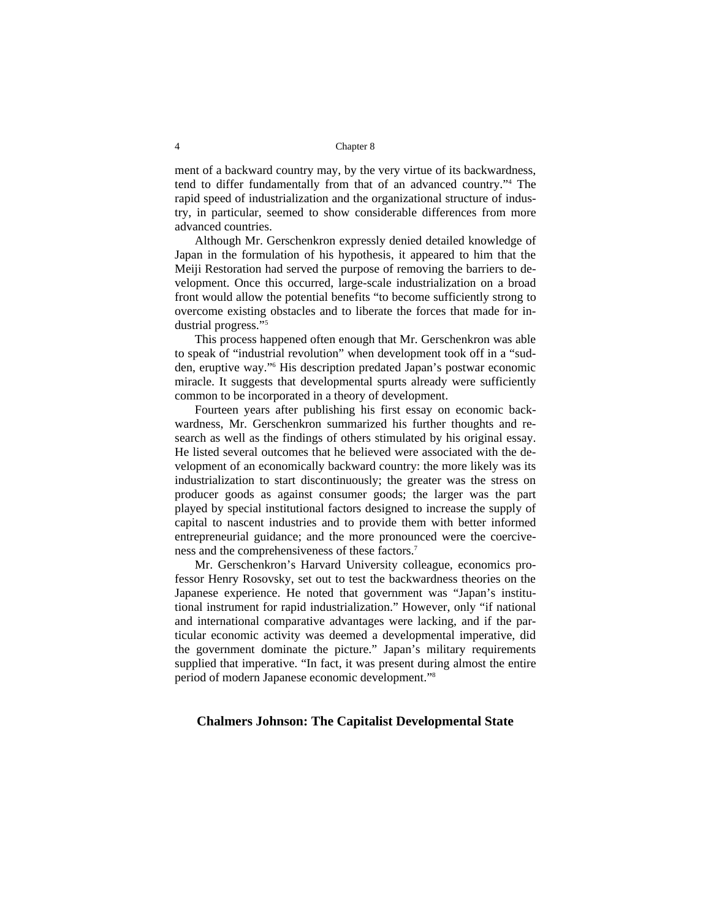ment of a backward country may, by the very virtue of its backwardness, tend to differ fundamentally from that of an advanced country."<sup>4</sup> The rapid speed of industrialization and the organizational structure of industry, in particular, seemed to show considerable differences from more advanced countries.

Although Mr. Gerschenkron expressly denied detailed knowledge of Japan in the formulation of his hypothesis, it appeared to him that the Meiji Restoration had served the purpose of removing the barriers to development. Once this occurred, large-scale industrialization on a broad front would allow the potential benefits "to become sufficiently strong to overcome existing obstacles and to liberate the forces that made for industrial progress."<sup>5</sup>

This process happened often enough that Mr. Gerschenkron was able to speak of "industrial revolution" when development took off in a "sudden, eruptive way."<sup>6</sup> His description predated Japan's postwar economic miracle. It suggests that developmental spurts already were sufficiently common to be incorporated in a theory of development.

Fourteen years after publishing his first essay on economic backwardness, Mr. Gerschenkron summarized his further thoughts and research as well as the findings of others stimulated by his original essay. He listed several outcomes that he believed were associated with the development of an economically backward country: the more likely was its industrialization to start discontinuously; the greater was the stress on producer goods as against consumer goods; the larger was the part played by special institutional factors designed to increase the supply of capital to nascent industries and to provide them with better informed entrepreneurial guidance; and the more pronounced were the coerciveness and the comprehensiveness of these factors.<sup>7</sup>

Mr. Gerschenkron's Harvard University colleague, economics professor Henry Rosovsky, set out to test the backwardness theories on the Japanese experience. He noted that government was "Japan's institutional instrument for rapid industrialization." However, only "if national and international comparative advantages were lacking, and if the particular economic activity was deemed a developmental imperative, did the government dominate the picture." Japan's military requirements supplied that imperative. "In fact, it was present during almost the entire period of modern Japanese economic development."<sup>8</sup>

# **Chalmers Johnson: The Capitalist Developmental State**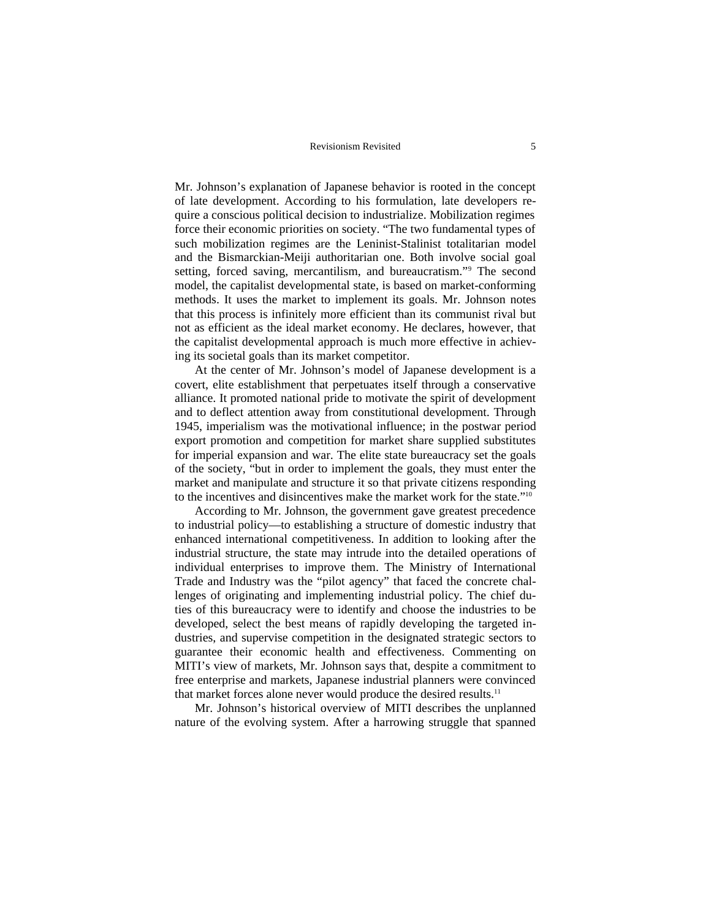Mr. Johnson's explanation of Japanese behavior is rooted in the concept of late development. According to his formulation, late developers require a conscious political decision to industrialize. Mobilization regimes force their economic priorities on society. "The two fundamental types of such mobilization regimes are the Leninist-Stalinist totalitarian model and the Bismarckian-Meiji authoritarian one. Both involve social goal setting, forced saving, mercantilism, and bureaucratism."<sup>9</sup> The second model, the capitalist developmental state, is based on market-conforming methods. It uses the market to implement its goals. Mr. Johnson notes that this process is infinitely more efficient than its communist rival but not as efficient as the ideal market economy. He declares, however, that the capitalist developmental approach is much more effective in achieving its societal goals than its market competitor.

At the center of Mr. Johnson's model of Japanese development is a covert, elite establishment that perpetuates itself through a conservative alliance. It promoted national pride to motivate the spirit of development and to deflect attention away from constitutional development. Through 1945, imperialism was the motivational influence; in the postwar period export promotion and competition for market share supplied substitutes for imperial expansion and war. The elite state bureaucracy set the goals of the society, "but in order to implement the goals, they must enter the market and manipulate and structure it so that private citizens responding to the incentives and disincentives make the market work for the state."<sup>10</sup>

According to Mr. Johnson, the government gave greatest precedence to industrial policy—to establishing a structure of domestic industry that enhanced international competitiveness. In addition to looking after the industrial structure, the state may intrude into the detailed operations of individual enterprises to improve them. The Ministry of International Trade and Industry was the "pilot agency" that faced the concrete challenges of originating and implementing industrial policy. The chief duties of this bureaucracy were to identify and choose the industries to be developed, select the best means of rapidly developing the targeted industries, and supervise competition in the designated strategic sectors to guarantee their economic health and effectiveness. Commenting on MITI's view of markets, Mr. Johnson says that, despite a commitment to free enterprise and markets, Japanese industrial planners were convinced that market forces alone never would produce the desired results.<sup>11</sup>

Mr. Johnson's historical overview of MITI describes the unplanned nature of the evolving system. After a harrowing struggle that spanned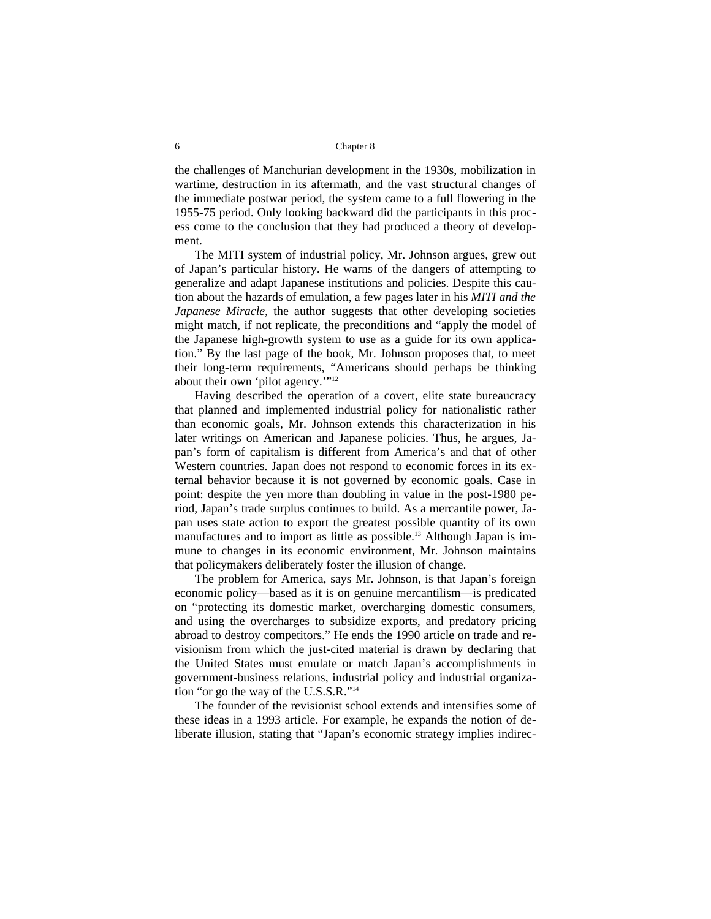the challenges of Manchurian development in the 1930s, mobilization in wartime, destruction in its aftermath, and the vast structural changes of the immediate postwar period, the system came to a full flowering in the 1955-75 period. Only looking backward did the participants in this process come to the conclusion that they had produced a theory of development.

The MITI system of industrial policy, Mr. Johnson argues, grew out of Japan's particular history. He warns of the dangers of attempting to generalize and adapt Japanese institutions and policies. Despite this caution about the hazards of emulation, a few pages later in his *MITI and the Japanese Miracle,* the author suggests that other developing societies might match, if not replicate, the preconditions and "apply the model of the Japanese high-growth system to use as a guide for its own application." By the last page of the book, Mr. Johnson proposes that, to meet their long-term requirements, "Americans should perhaps be thinking about their own 'pilot agency.'"<sup>12</sup>

Having described the operation of a covert, elite state bureaucracy that planned and implemented industrial policy for nationalistic rather than economic goals, Mr. Johnson extends this characterization in his later writings on American and Japanese policies. Thus, he argues, Japan's form of capitalism is different from America's and that of other Western countries. Japan does not respond to economic forces in its external behavior because it is not governed by economic goals. Case in point: despite the yen more than doubling in value in the post-1980 period, Japan's trade surplus continues to build. As a mercantile power, Japan uses state action to export the greatest possible quantity of its own manufactures and to import as little as possible.<sup>13</sup> Although Japan is immune to changes in its economic environment, Mr. Johnson maintains that policymakers deliberately foster the illusion of change.

The problem for America, says Mr. Johnson, is that Japan's foreign economic policy—based as it is on genuine mercantilism—is predicated on "protecting its domestic market, overcharging domestic consumers, and using the overcharges to subsidize exports, and predatory pricing abroad to destroy competitors." He ends the 1990 article on trade and revisionism from which the just-cited material is drawn by declaring that the United States must emulate or match Japan's accomplishments in government-business relations, industrial policy and industrial organization "or go the way of the U.S.S.R."<sup>14</sup>

The founder of the revisionist school extends and intensifies some of these ideas in a 1993 article. For example, he expands the notion of deliberate illusion, stating that "Japan's economic strategy implies indirec-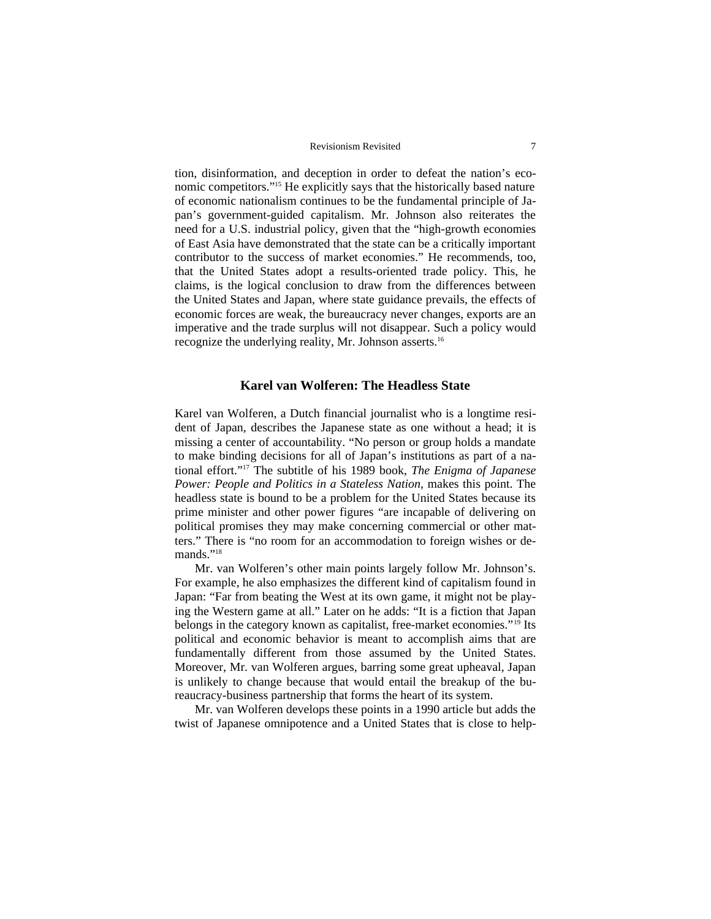tion, disinformation, and deception in order to defeat the nation's economic competitors."15 He explicitly says that the historically based nature of economic nationalism continues to be the fundamental principle of Japan's government-guided capitalism. Mr. Johnson also reiterates the need for a U.S. industrial policy, given that the "high-growth economies of East Asia have demonstrated that the state can be a critically important contributor to the success of market economies." He recommends, too, that the United States adopt a results-oriented trade policy. This, he claims, is the logical conclusion to draw from the differences between the United States and Japan, where state guidance prevails, the effects of economic forces are weak, the bureaucracy never changes, exports are an imperative and the trade surplus will not disappear. Such a policy would recognize the underlying reality, Mr. Johnson asserts.<sup>16</sup>

# **Karel van Wolferen: The Headless State**

Karel van Wolferen, a Dutch financial journalist who is a longtime resident of Japan, describes the Japanese state as one without a head; it is missing a center of accountability. "No person or group holds a mandate to make binding decisions for all of Japan's institutions as part of a national effort."17 The subtitle of his 1989 book, *The Enigma of Japanese Power: People and Politics in a Stateless Nation, makes this point. The* headless state is bound to be a problem for the United States because its prime minister and other power figures "are incapable of delivering on political promises they may make concerning commercial or other matters." There is "no room for an accommodation to foreign wishes or demands."<sup>18</sup>

Mr. van Wolferen's other main points largely follow Mr. Johnson's. For example, he also emphasizes the different kind of capitalism found in Japan: "Far from beating the West at its own game, it might not be playing the Western game at all." Later on he adds: "It is a fiction that Japan belongs in the category known as capitalist, free-market economies."<sup>19</sup> Its political and economic behavior is meant to accomplish aims that are fundamentally different from those assumed by the United States. Moreover, Mr. van Wolferen argues, barring some great upheaval, Japan is unlikely to change because that would entail the breakup of the bureaucracy-business partnership that forms the heart of its system.

Mr. van Wolferen develops these points in a 1990 article but adds the twist of Japanese omnipotence and a United States that is close to help-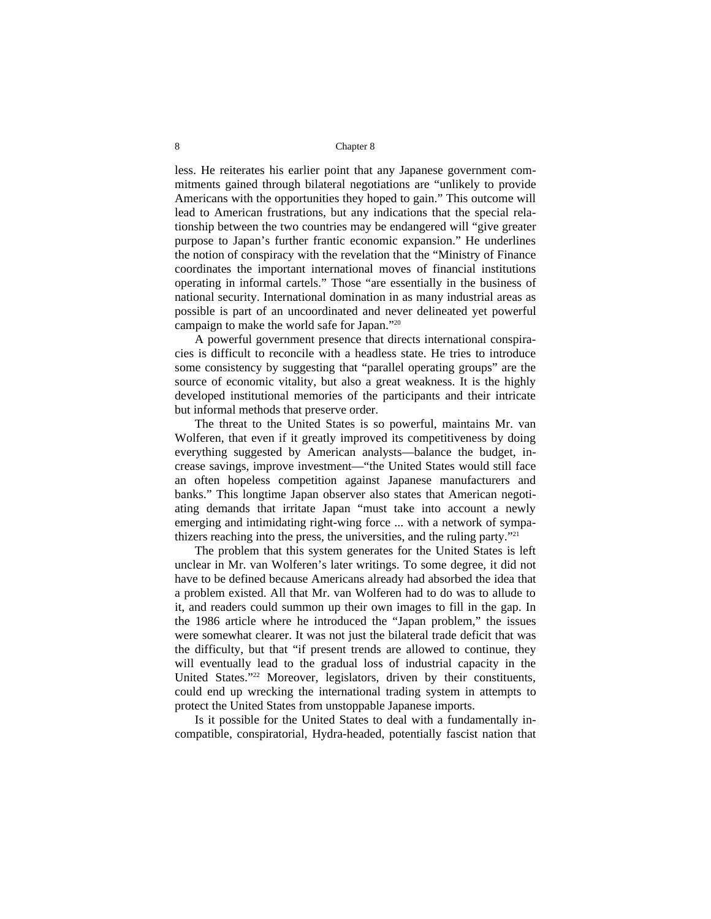less. He reiterates his earlier point that any Japanese government commitments gained through bilateral negotiations are "unlikely to provide Americans with the opportunities they hoped to gain." This outcome will lead to American frustrations, but any indications that the special relationship between the two countries may be endangered will "give greater purpose to Japan's further frantic economic expansion." He underlines the notion of conspiracy with the revelation that the "Ministry of Finance coordinates the important international moves of financial institutions operating in informal cartels." Those "are essentially in the business of national security. International domination in as many industrial areas as possible is part of an uncoordinated and never delineated yet powerful campaign to make the world safe for Japan."<sup>20</sup>

A powerful government presence that directs international conspiracies is difficult to reconcile with a headless state. He tries to introduce some consistency by suggesting that "parallel operating groups" are the source of economic vitality, but also a great weakness. It is the highly developed institutional memories of the participants and their intricate but informal methods that preserve order.

The threat to the United States is so powerful, maintains Mr. van Wolferen, that even if it greatly improved its competitiveness by doing everything suggested by American analysts—balance the budget, increase savings, improve investment—"the United States would still face an often hopeless competition against Japanese manufacturers and banks." This longtime Japan observer also states that American negotiating demands that irritate Japan "must take into account a newly emerging and intimidating right-wing force ... with a network of sympathizers reaching into the press, the universities, and the ruling party."<sup>21</sup>

The problem that this system generates for the United States is left unclear in Mr. van Wolferen's later writings. To some degree, it did not have to be defined because Americans already had absorbed the idea that a problem existed. All that Mr. van Wolferen had to do was to allude to it, and readers could summon up their own images to fill in the gap. In the 1986 article where he introduced the "Japan problem," the issues were somewhat clearer. It was not just the bilateral trade deficit that was the difficulty, but that "if present trends are allowed to continue, they will eventually lead to the gradual loss of industrial capacity in the United States."<sup>22</sup> Moreover, legislators, driven by their constituents, could end up wrecking the international trading system in attempts to protect the United States from unstoppable Japanese imports.

Is it possible for the United States to deal with a fundamentally incompatible, conspiratorial, Hydra-headed, potentially fascist nation that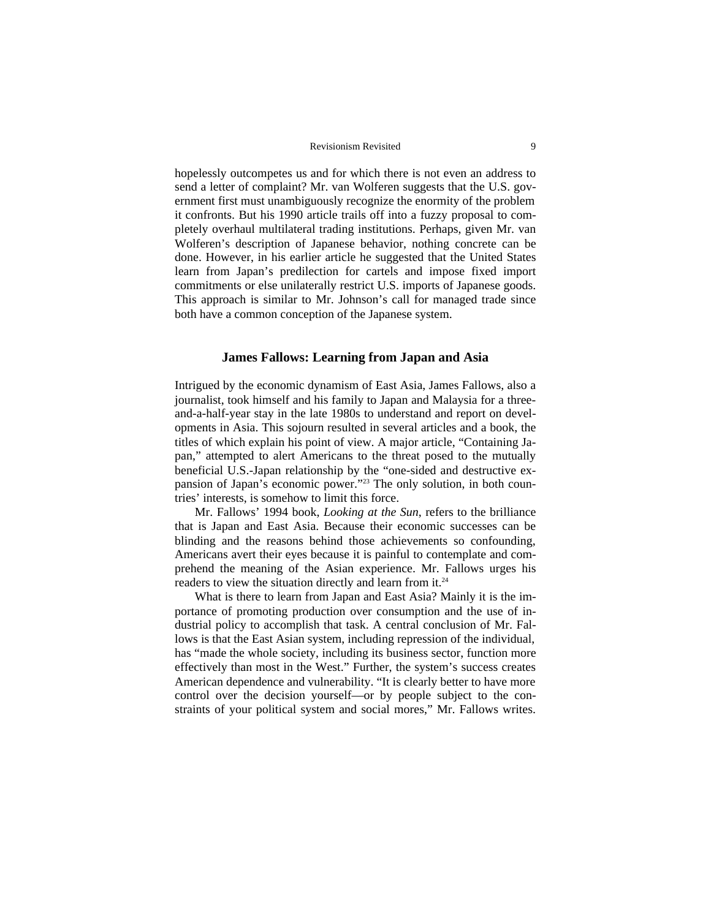hopelessly outcompetes us and for which there is not even an address to send a letter of complaint? Mr. van Wolferen suggests that the U.S. government first must unambiguously recognize the enormity of the problem it confronts. But his 1990 article trails off into a fuzzy proposal to completely overhaul multilateral trading institutions. Perhaps, given Mr. van Wolferen's description of Japanese behavior, nothing concrete can be done. However, in his earlier article he suggested that the United States learn from Japan's predilection for cartels and impose fixed import commitments or else unilaterally restrict U.S. imports of Japanese goods. This approach is similar to Mr. Johnson's call for managed trade since both have a common conception of the Japanese system.

### **James Fallows: Learning from Japan and Asia**

Intrigued by the economic dynamism of East Asia, James Fallows, also a journalist, took himself and his family to Japan and Malaysia for a threeand-a-half-year stay in the late 1980s to understand and report on developments in Asia. This sojourn resulted in several articles and a book, the titles of which explain his point of view. A major article, "Containing Japan," attempted to alert Americans to the threat posed to the mutually beneficial U.S.-Japan relationship by the "one-sided and destructive expansion of Japan's economic power."23 The only solution, in both countries' interests, is somehow to limit this force.

Mr. Fallows' 1994 book, *Looking at the Sun*, refers to the brilliance that is Japan and East Asia. Because their economic successes can be blinding and the reasons behind those achievements so confounding, Americans avert their eyes because it is painful to contemplate and comprehend the meaning of the Asian experience. Mr. Fallows urges his readers to view the situation directly and learn from it.<sup>24</sup>

What is there to learn from Japan and East Asia? Mainly it is the importance of promoting production over consumption and the use of industrial policy to accomplish that task. A central conclusion of Mr. Fallows is that the East Asian system, including repression of the individual, has "made the whole society, including its business sector, function more effectively than most in the West." Further, the system's success creates American dependence and vulnerability. "It is clearly better to have more control over the decision yourself—or by people subject to the constraints of your political system and social mores," Mr. Fallows writes.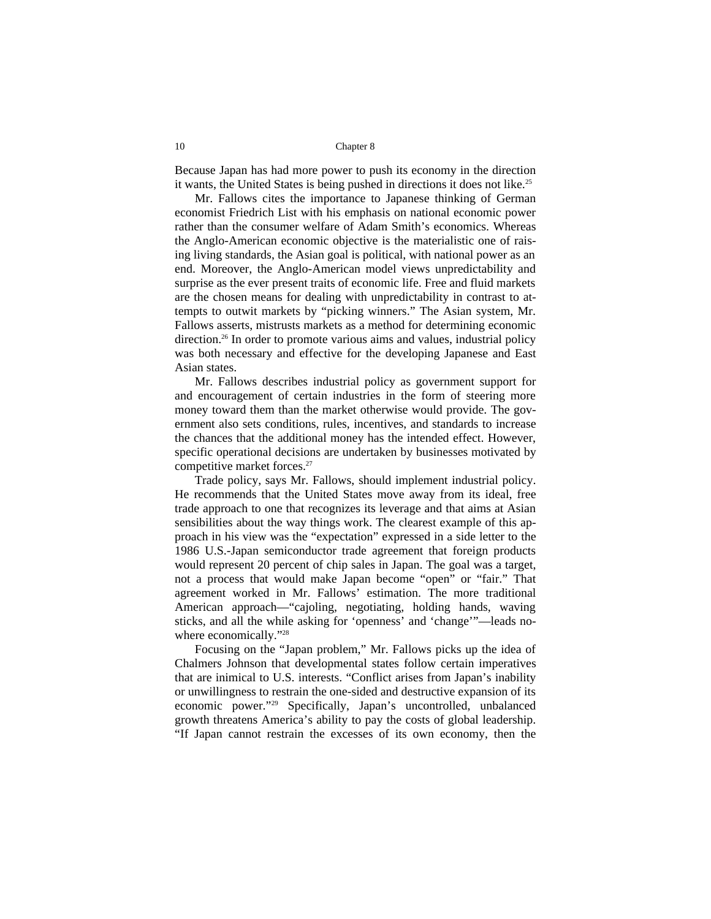Because Japan has had more power to push its economy in the direction it wants, the United States is being pushed in directions it does not like.<sup>25</sup>

Mr. Fallows cites the importance to Japanese thinking of German economist Friedrich List with his emphasis on national economic power rather than the consumer welfare of Adam Smith's economics. Whereas the Anglo-American economic objective is the materialistic one of raising living standards, the Asian goal is political, with national power as an end. Moreover, the Anglo-American model views unpredictability and surprise as the ever present traits of economic life. Free and fluid markets are the chosen means for dealing with unpredictability in contrast to attempts to outwit markets by "picking winners." The Asian system, Mr. Fallows asserts, mistrusts markets as a method for determining economic direction.<sup>26</sup> In order to promote various aims and values, industrial policy was both necessary and effective for the developing Japanese and East Asian states.

Mr. Fallows describes industrial policy as government support for and encouragement of certain industries in the form of steering more money toward them than the market otherwise would provide. The government also sets conditions, rules, incentives, and standards to increase the chances that the additional money has the intended effect. However, specific operational decisions are undertaken by businesses motivated by competitive market forces.<sup>27</sup>

Trade policy, says Mr. Fallows, should implement industrial policy. He recommends that the United States move away from its ideal, free trade approach to one that recognizes its leverage and that aims at Asian sensibilities about the way things work. The clearest example of this approach in his view was the "expectation" expressed in a side letter to the 1986 U.S.-Japan semiconductor trade agreement that foreign products would represent 20 percent of chip sales in Japan. The goal was a target, not a process that would make Japan become "open" or "fair." That agreement worked in Mr. Fallows' estimation. The more traditional American approach—"cajoling, negotiating, holding hands, waving sticks, and all the while asking for 'openness' and 'change'"—leads nowhere economically."<sup>28</sup>

Focusing on the "Japan problem," Mr. Fallows picks up the idea of Chalmers Johnson that developmental states follow certain imperatives that are inimical to U.S. interests. "Conflict arises from Japan's inability or unwillingness to restrain the one-sided and destructive expansion of its economic power."29 Specifically, Japan's uncontrolled, unbalanced growth threatens America's ability to pay the costs of global leadership. "If Japan cannot restrain the excesses of its own economy, then the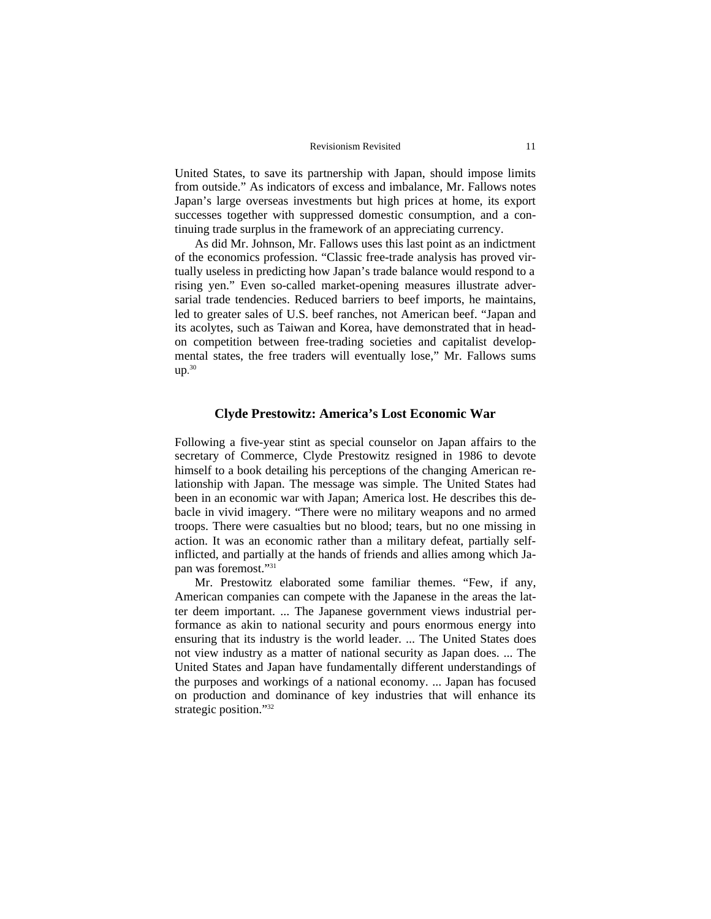United States, to save its partnership with Japan, should impose limits from outside." As indicators of excess and imbalance, Mr. Fallows notes Japan's large overseas investments but high prices at home, its export successes together with suppressed domestic consumption, and a continuing trade surplus in the framework of an appreciating currency.

As did Mr. Johnson, Mr. Fallows uses this last point as an indictment of the economics profession. "Classic free-trade analysis has proved virtually useless in predicting how Japan's trade balance would respond to a rising yen." Even so-called market-opening measures illustrate adversarial trade tendencies. Reduced barriers to beef imports, he maintains, led to greater sales of U.S. beef ranches, not American beef. "Japan and its acolytes, such as Taiwan and Korea, have demonstrated that in headon competition between free-trading societies and capitalist developmental states, the free traders will eventually lose," Mr. Fallows sums  $up.^{30}$ 

### **Clyde Prestowitz: America's Lost Economic War**

Following a five-year stint as special counselor on Japan affairs to the secretary of Commerce, Clyde Prestowitz resigned in 1986 to devote himself to a book detailing his perceptions of the changing American relationship with Japan. The message was simple. The United States had been in an economic war with Japan; America lost. He describes this debacle in vivid imagery. "There were no military weapons and no armed troops. There were casualties but no blood; tears, but no one missing in action. It was an economic rather than a military defeat, partially selfinflicted, and partially at the hands of friends and allies among which Japan was foremost."<sup>31</sup>

Mr. Prestowitz elaborated some familiar themes. "Few, if any, American companies can compete with the Japanese in the areas the latter deem important. ... The Japanese government views industrial performance as akin to national security and pours enormous energy into ensuring that its industry is the world leader. ... The United States does not view industry as a matter of national security as Japan does. ... The United States and Japan have fundamentally different understandings of the purposes and workings of a national economy. ... Japan has focused on production and dominance of key industries that will enhance its strategic position."<sup>32</sup>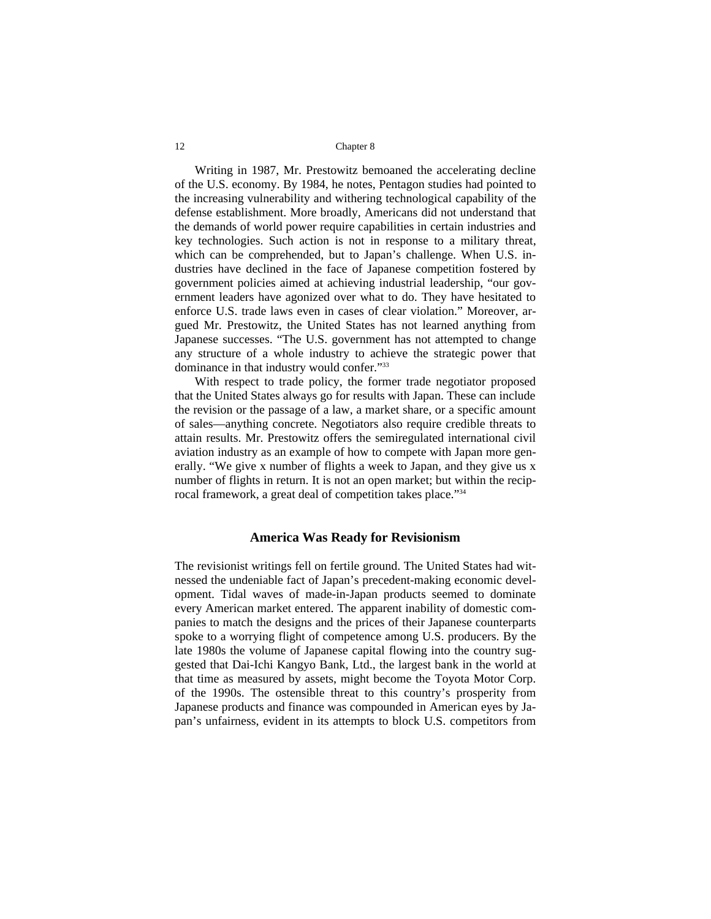Writing in 1987, Mr. Prestowitz bemoaned the accelerating decline of the U.S. economy. By 1984, he notes, Pentagon studies had pointed to the increasing vulnerability and withering technological capability of the defense establishment. More broadly, Americans did not understand that the demands of world power require capabilities in certain industries and key technologies. Such action is not in response to a military threat, which can be comprehended, but to Japan's challenge. When U.S. industries have declined in the face of Japanese competition fostered by government policies aimed at achieving industrial leadership, "our government leaders have agonized over what to do. They have hesitated to enforce U.S. trade laws even in cases of clear violation." Moreover, argued Mr. Prestowitz, the United States has not learned anything from Japanese successes. "The U.S. government has not attempted to change any structure of a whole industry to achieve the strategic power that dominance in that industry would confer."<sup>33</sup>

With respect to trade policy, the former trade negotiator proposed that the United States always go for results with Japan. These can include the revision or the passage of a law, a market share, or a specific amount of sales—anything concrete. Negotiators also require credible threats to attain results. Mr. Prestowitz offers the semiregulated international civil aviation industry as an example of how to compete with Japan more generally. "We give x number of flights a week to Japan, and they give us x number of flights in return. It is not an open market; but within the reciprocal framework, a great deal of competition takes place."<sup>34</sup>

### **America Was Ready for Revisionism**

The revisionist writings fell on fertile ground. The United States had witnessed the undeniable fact of Japan's precedent-making economic development. Tidal waves of made-in-Japan products seemed to dominate every American market entered. The apparent inability of domestic companies to match the designs and the prices of their Japanese counterparts spoke to a worrying flight of competence among U.S. producers. By the late 1980s the volume of Japanese capital flowing into the country suggested that Dai-Ichi Kangyo Bank, Ltd., the largest bank in the world at that time as measured by assets, might become the Toyota Motor Corp. of the 1990s. The ostensible threat to this country's prosperity from Japanese products and finance was compounded in American eyes by Japan's unfairness, evident in its attempts to block U.S. competitors from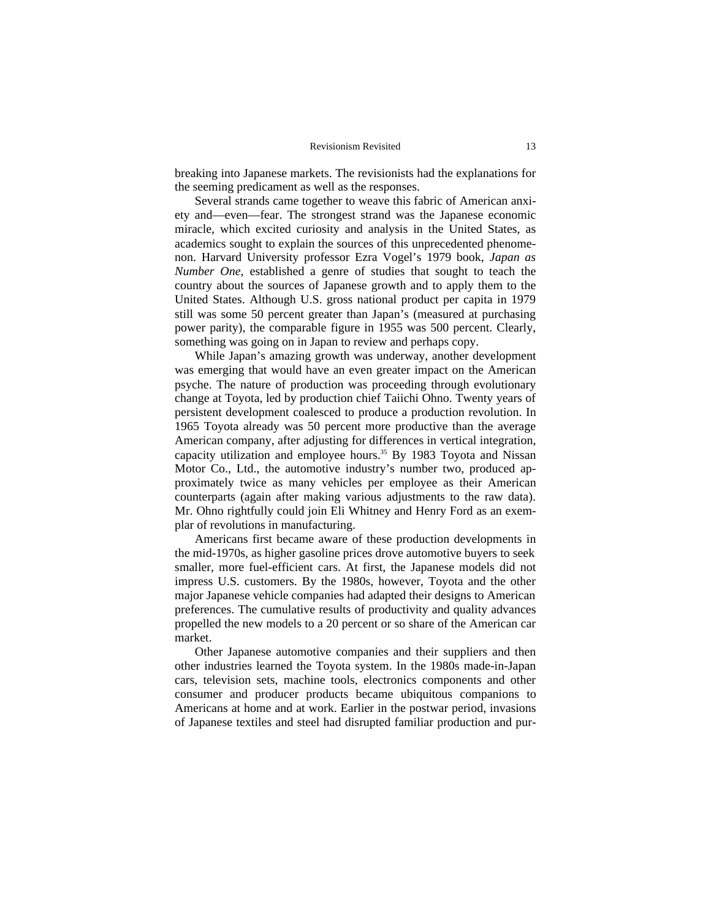breaking into Japanese markets. The revisionists had the explanations for the seeming predicament as well as the responses.

Several strands came together to weave this fabric of American anxiety and—even—fear. The strongest strand was the Japanese economic miracle, which excited curiosity and analysis in the United States, as academics sought to explain the sources of this unprecedented phenomenon. Harvard University professor Ezra Vogel's 1979 book, *Japan as Number One,* established a genre of studies that sought to teach the country about the sources of Japanese growth and to apply them to the United States. Although U.S. gross national product per capita in 1979 still was some 50 percent greater than Japan's (measured at purchasing power parity), the comparable figure in 1955 was 500 percent. Clearly, something was going on in Japan to review and perhaps copy.

While Japan's amazing growth was underway, another development was emerging that would have an even greater impact on the American psyche. The nature of production was proceeding through evolutionary change at Toyota, led by production chief Taiichi Ohno. Twenty years of persistent development coalesced to produce a production revolution. In 1965 Toyota already was 50 percent more productive than the average American company, after adjusting for differences in vertical integration, capacity utilization and employee hours.<sup>35</sup> By 1983 Toyota and Nissan Motor Co., Ltd., the automotive industry's number two, produced approximately twice as many vehicles per employee as their American counterparts (again after making various adjustments to the raw data). Mr. Ohno rightfully could join Eli Whitney and Henry Ford as an exemplar of revolutions in manufacturing.

Americans first became aware of these production developments in the mid-1970s, as higher gasoline prices drove automotive buyers to seek smaller, more fuel-efficient cars. At first, the Japanese models did not impress U.S. customers. By the 1980s, however, Toyota and the other major Japanese vehicle companies had adapted their designs to American preferences. The cumulative results of productivity and quality advances propelled the new models to a 20 percent or so share of the American car market.

Other Japanese automotive companies and their suppliers and then other industries learned the Toyota system. In the 1980s made-in-Japan cars, television sets, machine tools, electronics components and other consumer and producer products became ubiquitous companions to Americans at home and at work. Earlier in the postwar period, invasions of Japanese textiles and steel had disrupted familiar production and pur-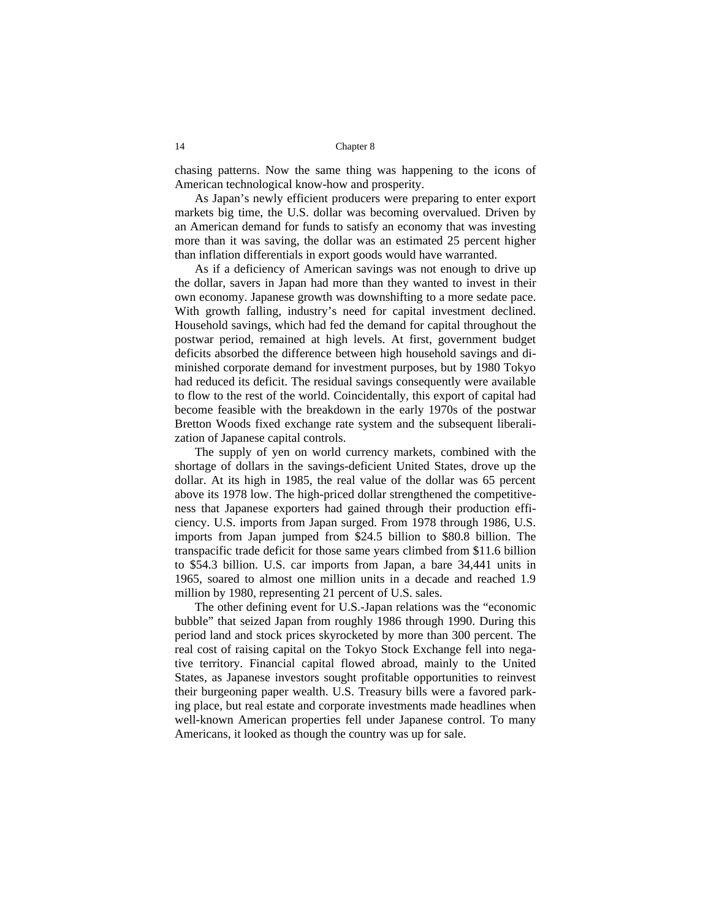chasing patterns. Now the same thing was happening to the icons of American technological know-how and prosperity.

As Japan's newly efficient producers were preparing to enter export markets big time, the U.S. dollar was becoming overvalued. Driven by an American demand for funds to satisfy an economy that was investing more than it was saving, the dollar was an estimated 25 percent higher than inflation differentials in export goods would have warranted.

As if a deficiency of American savings was not enough to drive up the dollar, savers in Japan had more than they wanted to invest in their own economy. Japanese growth was downshifting to a more sedate pace. With growth falling, industry's need for capital investment declined. Household savings, which had fed the demand for capital throughout the postwar period, remained at high levels. At first, government budget deficits absorbed the difference between high household savings and diminished corporate demand for investment purposes, but by 1980 Tokyo had reduced its deficit. The residual savings consequently were available to flow to the rest of the world. Coincidentally, this export of capital had become feasible with the breakdown in the early 1970s of the postwar Bretton Woods fixed exchange rate system and the subsequent liberalization of Japanese capital controls.

The supply of yen on world currency markets, combined with the shortage of dollars in the savings-deficient United States, drove up the dollar. At its high in 1985, the real value of the dollar was 65 percent above its 1978 low. The high-priced dollar strengthened the competitiveness that Japanese exporters had gained through their production efficiency. U.S. imports from Japan surged. From 1978 through 1986, U.S. imports from Japan jumped from \$24.5 billion to \$80.8 billion. The transpacific trade deficit for those same years climbed from \$11.6 billion to \$54.3 billion. U.S. car imports from Japan, a bare 34,441 units in 1965, soared to almost one million units in a decade and reached 1.9 million by 1980, representing 21 percent of U.S. sales.

The other defining event for U.S.-Japan relations was the "economic bubble" that seized Japan from roughly 1986 through 1990. During this period land and stock prices skyrocketed by more than 300 percent. The real cost of raising capital on the Tokyo Stock Exchange fell into negative territory. Financial capital flowed abroad, mainly to the United States, as Japanese investors sought profitable opportunities to reinvest their burgeoning paper wealth. U.S. Treasury bills were a favored parking place, but real estate and corporate investments made headlines when well-known American properties fell under Japanese control. To many Americans, it looked as though the country was up for sale.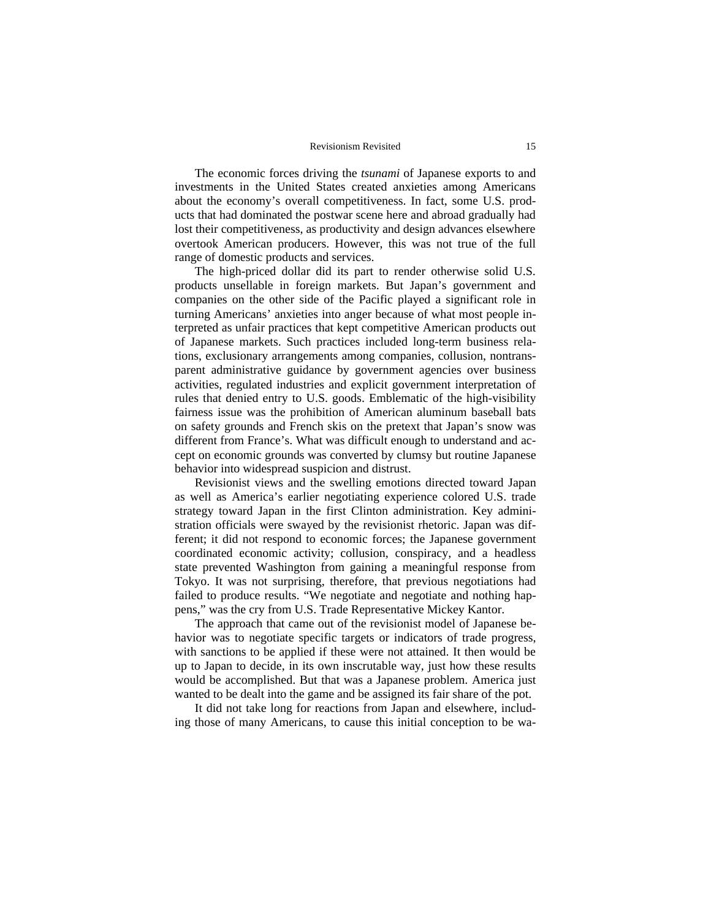The economic forces driving the *tsunami* of Japanese exports to and investments in the United States created anxieties among Americans about the economy's overall competitiveness. In fact, some U.S. products that had dominated the postwar scene here and abroad gradually had lost their competitiveness, as productivity and design advances elsewhere overtook American producers. However, this was not true of the full range of domestic products and services.

The high-priced dollar did its part to render otherwise solid U.S. products unsellable in foreign markets. But Japan's government and companies on the other side of the Pacific played a significant role in turning Americans' anxieties into anger because of what most people interpreted as unfair practices that kept competitive American products out of Japanese markets. Such practices included long-term business relations, exclusionary arrangements among companies, collusion, nontransparent administrative guidance by government agencies over business activities, regulated industries and explicit government interpretation of rules that denied entry to U.S. goods. Emblematic of the high-visibility fairness issue was the prohibition of American aluminum baseball bats on safety grounds and French skis on the pretext that Japan's snow was different from France's. What was difficult enough to understand and accept on economic grounds was converted by clumsy but routine Japanese behavior into widespread suspicion and distrust.

Revisionist views and the swelling emotions directed toward Japan as well as America's earlier negotiating experience colored U.S. trade strategy toward Japan in the first Clinton administration. Key administration officials were swayed by the revisionist rhetoric. Japan was different; it did not respond to economic forces; the Japanese government coordinated economic activity; collusion, conspiracy, and a headless state prevented Washington from gaining a meaningful response from Tokyo. It was not surprising, therefore, that previous negotiations had failed to produce results. "We negotiate and negotiate and nothing happens," was the cry from U.S. Trade Representative Mickey Kantor.

The approach that came out of the revisionist model of Japanese behavior was to negotiate specific targets or indicators of trade progress, with sanctions to be applied if these were not attained. It then would be up to Japan to decide, in its own inscrutable way, just how these results would be accomplished. But that was a Japanese problem. America just wanted to be dealt into the game and be assigned its fair share of the pot.

It did not take long for reactions from Japan and elsewhere, including those of many Americans, to cause this initial conception to be wa-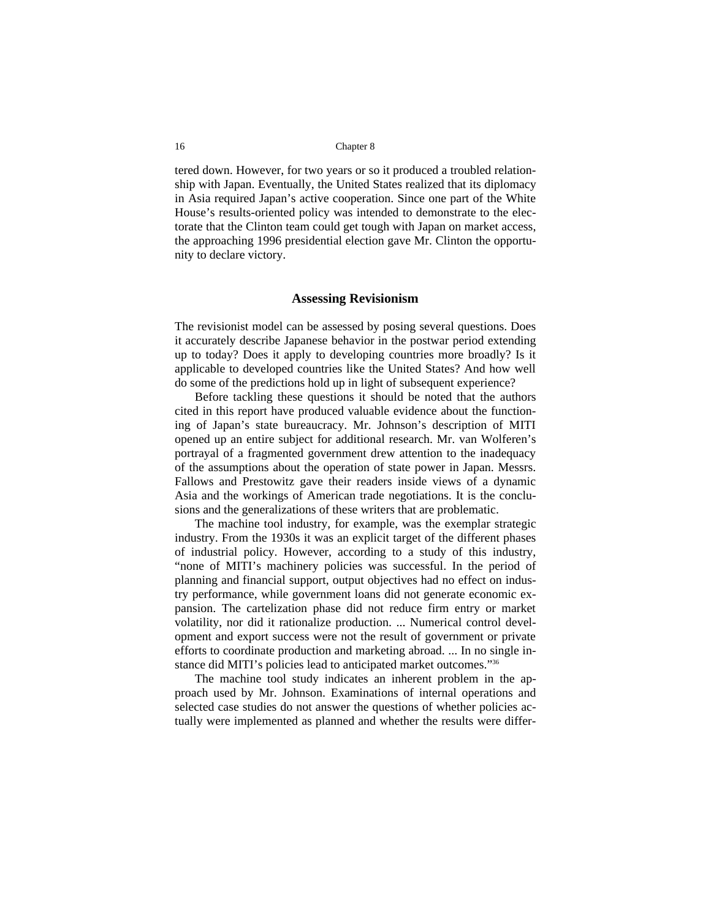tered down. However, for two years or so it produced a troubled relationship with Japan. Eventually, the United States realized that its diplomacy in Asia required Japan's active cooperation. Since one part of the White House's results-oriented policy was intended to demonstrate to the electorate that the Clinton team could get tough with Japan on market access, the approaching 1996 presidential election gave Mr. Clinton the opportunity to declare victory.

### **Assessing Revisionism**

The revisionist model can be assessed by posing several questions. Does it accurately describe Japanese behavior in the postwar period extending up to today? Does it apply to developing countries more broadly? Is it applicable to developed countries like the United States? And how well do some of the predictions hold up in light of subsequent experience?

Before tackling these questions it should be noted that the authors cited in this report have produced valuable evidence about the functioning of Japan's state bureaucracy. Mr. Johnson's description of MITI opened up an entire subject for additional research. Mr. van Wolferen's portrayal of a fragmented government drew attention to the inadequacy of the assumptions about the operation of state power in Japan. Messrs. Fallows and Prestowitz gave their readers inside views of a dynamic Asia and the workings of American trade negotiations. It is the conclusions and the generalizations of these writers that are problematic.

The machine tool industry, for example, was the exemplar strategic industry. From the 1930s it was an explicit target of the different phases of industrial policy. However, according to a study of this industry, "none of MITI's machinery policies was successful. In the period of planning and financial support, output objectives had no effect on industry performance, while government loans did not generate economic expansion. The cartelization phase did not reduce firm entry or market volatility, nor did it rationalize production. ... Numerical control development and export success were not the result of government or private efforts to coordinate production and marketing abroad. ... In no single instance did MITI's policies lead to anticipated market outcomes."<sup>36</sup>

The machine tool study indicates an inherent problem in the approach used by Mr. Johnson. Examinations of internal operations and selected case studies do not answer the questions of whether policies actually were implemented as planned and whether the results were differ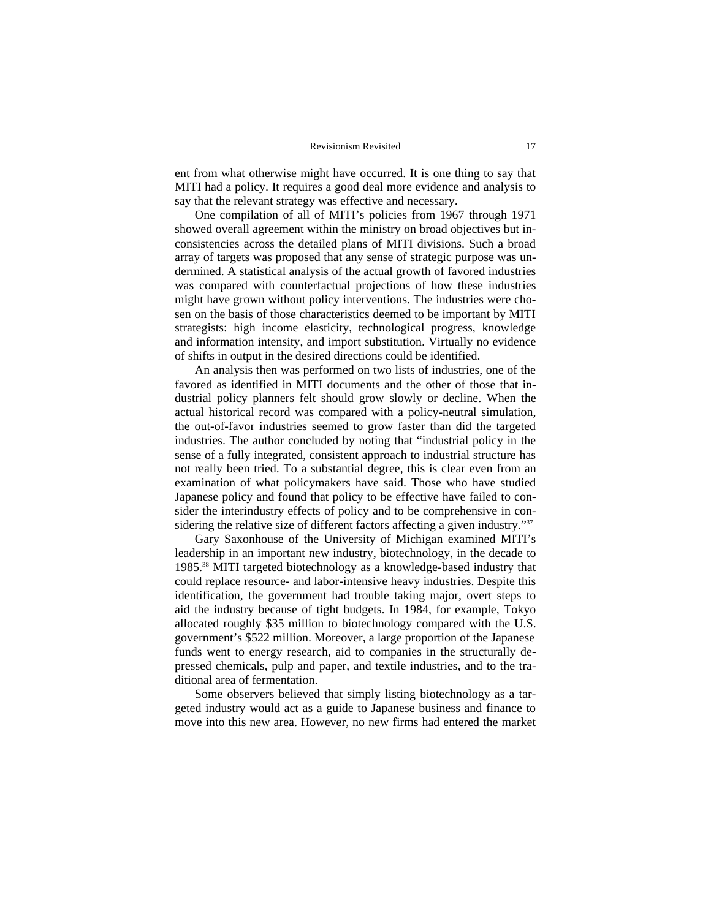ent from what otherwise might have occurred. It is one thing to say that MITI had a policy. It requires a good deal more evidence and analysis to say that the relevant strategy was effective and necessary.

One compilation of all of MITI's policies from 1967 through 1971 showed overall agreement within the ministry on broad objectives but inconsistencies across the detailed plans of MITI divisions. Such a broad array of targets was proposed that any sense of strategic purpose was undermined. A statistical analysis of the actual growth of favored industries was compared with counterfactual projections of how these industries might have grown without policy interventions. The industries were chosen on the basis of those characteristics deemed to be important by MITI strategists: high income elasticity, technological progress, knowledge and information intensity, and import substitution. Virtually no evidence of shifts in output in the desired directions could be identified.

An analysis then was performed on two lists of industries, one of the favored as identified in MITI documents and the other of those that industrial policy planners felt should grow slowly or decline. When the actual historical record was compared with a policy-neutral simulation, the out-of-favor industries seemed to grow faster than did the targeted industries. The author concluded by noting that "industrial policy in the sense of a fully integrated, consistent approach to industrial structure has not really been tried. To a substantial degree, this is clear even from an examination of what policymakers have said. Those who have studied Japanese policy and found that policy to be effective have failed to consider the interindustry effects of policy and to be comprehensive in considering the relative size of different factors affecting a given industry."<sup>37</sup>

Gary Saxonhouse of the University of Michigan examined MITI's leadership in an important new industry, biotechnology, in the decade to 1985.38 MITI targeted biotechnology as a knowledge-based industry that could replace resource- and labor-intensive heavy industries. Despite this identification, the government had trouble taking major, overt steps to aid the industry because of tight budgets. In 1984, for example, Tokyo allocated roughly \$35 million to biotechnology compared with the U.S. government's \$522 million. Moreover, a large proportion of the Japanese funds went to energy research, aid to companies in the structurally depressed chemicals, pulp and paper, and textile industries, and to the traditional area of fermentation.

Some observers believed that simply listing biotechnology as a targeted industry would act as a guide to Japanese business and finance to move into this new area. However, no new firms had entered the market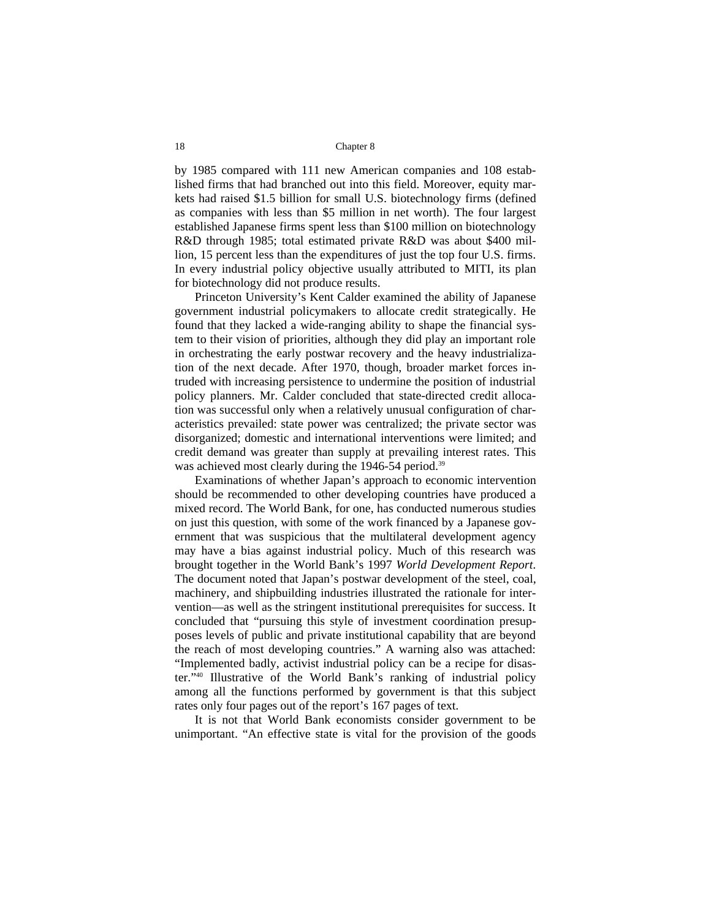by 1985 compared with 111 new American companies and 108 established firms that had branched out into this field. Moreover, equity markets had raised \$1.5 billion for small U.S. biotechnology firms (defined as companies with less than \$5 million in net worth). The four largest established Japanese firms spent less than \$100 million on biotechnology R&D through 1985; total estimated private R&D was about \$400 million, 15 percent less than the expenditures of just the top four U.S. firms. In every industrial policy objective usually attributed to MITI, its plan for biotechnology did not produce results.

Princeton University's Kent Calder examined the ability of Japanese government industrial policymakers to allocate credit strategically. He found that they lacked a wide-ranging ability to shape the financial system to their vision of priorities, although they did play an important role in orchestrating the early postwar recovery and the heavy industrialization of the next decade. After 1970, though, broader market forces intruded with increasing persistence to undermine the position of industrial policy planners. Mr. Calder concluded that state-directed credit allocation was successful only when a relatively unusual configuration of characteristics prevailed: state power was centralized; the private sector was disorganized; domestic and international interventions were limited; and credit demand was greater than supply at prevailing interest rates. This was achieved most clearly during the 1946-54 period.<sup>39</sup>

Examinations of whether Japan's approach to economic intervention should be recommended to other developing countries have produced a mixed record. The World Bank, for one, has conducted numerous studies on just this question, with some of the work financed by a Japanese government that was suspicious that the multilateral development agency may have a bias against industrial policy. Much of this research was brought together in the World Bank's 1997 *World Development Report*. The document noted that Japan's postwar development of the steel, coal, machinery, and shipbuilding industries illustrated the rationale for intervention—as well as the stringent institutional prerequisites for success. It concluded that "pursuing this style of investment coordination presupposes levels of public and private institutional capability that are beyond the reach of most developing countries." A warning also was attached: "Implemented badly, activist industrial policy can be a recipe for disaster."40 Illustrative of the World Bank's ranking of industrial policy among all the functions performed by government is that this subject rates only four pages out of the report's 167 pages of text.

It is not that World Bank economists consider government to be unimportant. "An effective state is vital for the provision of the goods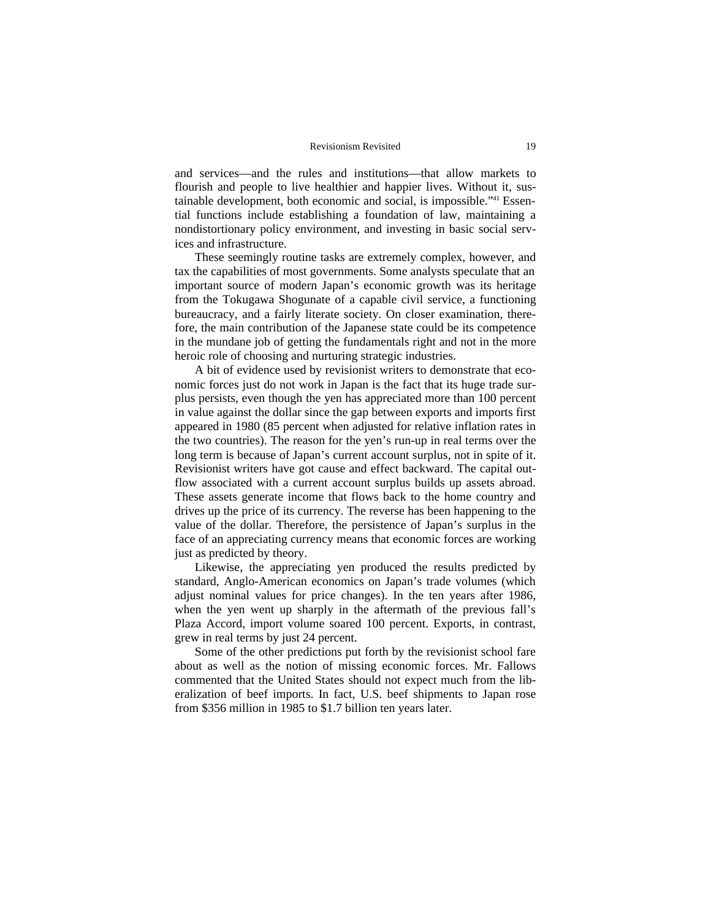and services—and the rules and institutions—that allow markets to flourish and people to live healthier and happier lives. Without it, sustainable development, both economic and social, is impossible."41 Essential functions include establishing a foundation of law, maintaining a nondistortionary policy environment, and investing in basic social services and infrastructure.

These seemingly routine tasks are extremely complex, however, and tax the capabilities of most governments. Some analysts speculate that an important source of modern Japan's economic growth was its heritage from the Tokugawa Shogunate of a capable civil service, a functioning bureaucracy, and a fairly literate society. On closer examination, therefore, the main contribution of the Japanese state could be its competence in the mundane job of getting the fundamentals right and not in the more heroic role of choosing and nurturing strategic industries.

A bit of evidence used by revisionist writers to demonstrate that economic forces just do not work in Japan is the fact that its huge trade surplus persists, even though the yen has appreciated more than 100 percent in value against the dollar since the gap between exports and imports first appeared in 1980 (85 percent when adjusted for relative inflation rates in the two countries). The reason for the yen's run-up in real terms over the long term is because of Japan's current account surplus, not in spite of it. Revisionist writers have got cause and effect backward. The capital outflow associated with a current account surplus builds up assets abroad. These assets generate income that flows back to the home country and drives up the price of its currency. The reverse has been happening to the value of the dollar. Therefore, the persistence of Japan's surplus in the face of an appreciating currency means that economic forces are working just as predicted by theory.

Likewise, the appreciating yen produced the results predicted by standard, Anglo-American economics on Japan's trade volumes (which adjust nominal values for price changes). In the ten years after 1986, when the yen went up sharply in the aftermath of the previous fall's Plaza Accord, import volume soared 100 percent. Exports, in contrast, grew in real terms by just 24 percent.

Some of the other predictions put forth by the revisionist school fare about as well as the notion of missing economic forces. Mr. Fallows commented that the United States should not expect much from the liberalization of beef imports. In fact, U.S. beef shipments to Japan rose from \$356 million in 1985 to \$1.7 billion ten years later.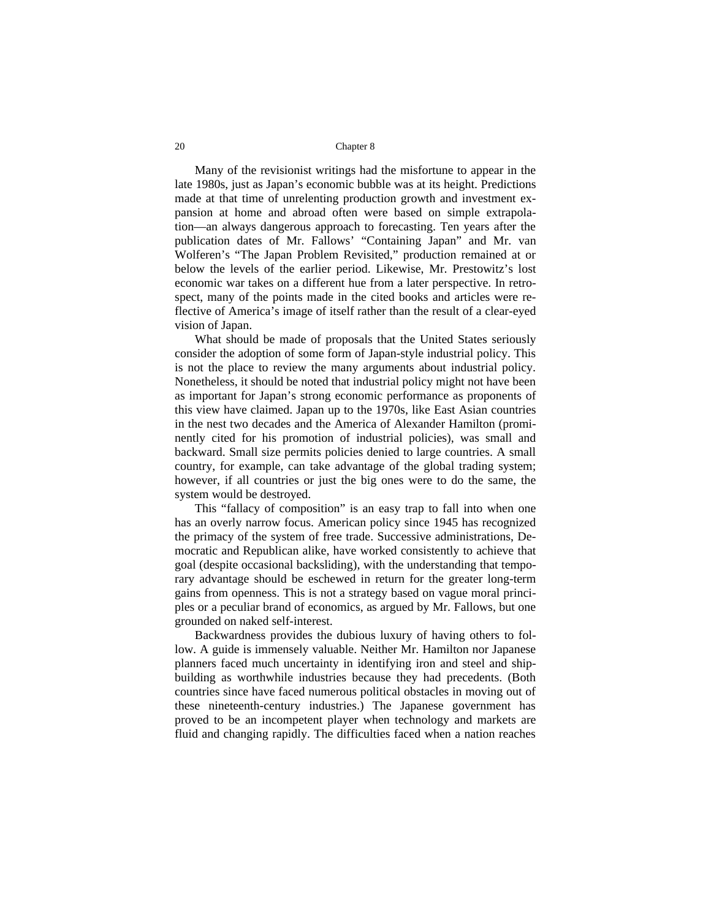Many of the revisionist writings had the misfortune to appear in the late 1980s, just as Japan's economic bubble was at its height. Predictions made at that time of unrelenting production growth and investment expansion at home and abroad often were based on simple extrapolation—an always dangerous approach to forecasting. Ten years after the publication dates of Mr. Fallows' "Containing Japan" and Mr. van Wolferen's "The Japan Problem Revisited," production remained at or below the levels of the earlier period. Likewise, Mr. Prestowitz's lost economic war takes on a different hue from a later perspective. In retrospect, many of the points made in the cited books and articles were reflective of America's image of itself rather than the result of a clear-eyed vision of Japan.

What should be made of proposals that the United States seriously consider the adoption of some form of Japan-style industrial policy. This is not the place to review the many arguments about industrial policy. Nonetheless, it should be noted that industrial policy might not have been as important for Japan's strong economic performance as proponents of this view have claimed. Japan up to the 1970s, like East Asian countries in the nest two decades and the America of Alexander Hamilton (prominently cited for his promotion of industrial policies), was small and backward. Small size permits policies denied to large countries. A small country, for example, can take advantage of the global trading system; however, if all countries or just the big ones were to do the same, the system would be destroyed.

This "fallacy of composition" is an easy trap to fall into when one has an overly narrow focus. American policy since 1945 has recognized the primacy of the system of free trade. Successive administrations, Democratic and Republican alike, have worked consistently to achieve that goal (despite occasional backsliding), with the understanding that temporary advantage should be eschewed in return for the greater long-term gains from openness. This is not a strategy based on vague moral principles or a peculiar brand of economics, as argued by Mr. Fallows, but one grounded on naked self-interest.

Backwardness provides the dubious luxury of having others to follow. A guide is immensely valuable. Neither Mr. Hamilton nor Japanese planners faced much uncertainty in identifying iron and steel and shipbuilding as worthwhile industries because they had precedents. (Both countries since have faced numerous political obstacles in moving out of these nineteenth-century industries.) The Japanese government has proved to be an incompetent player when technology and markets are fluid and changing rapidly. The difficulties faced when a nation reaches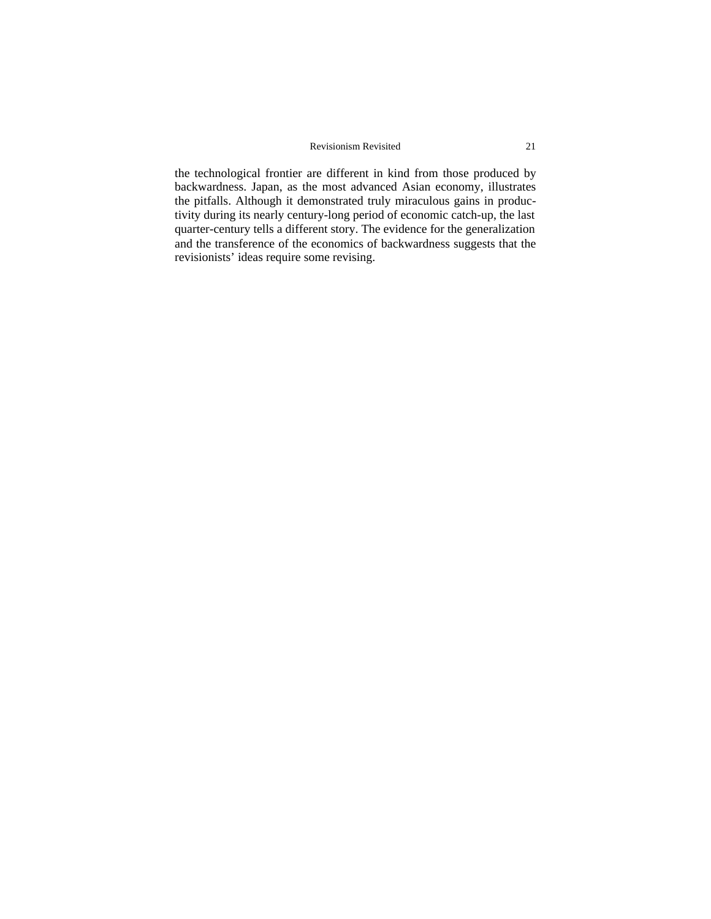the technological frontier are different in kind from those produced by backwardness. Japan, as the most advanced Asian economy, illustrates the pitfalls. Although it demonstrated truly miraculous gains in productivity during its nearly century-long period of economic catch-up, the last quarter-century tells a different story. The evidence for the generalization and the transference of the economics of backwardness suggests that the revisionists' ideas require some revising.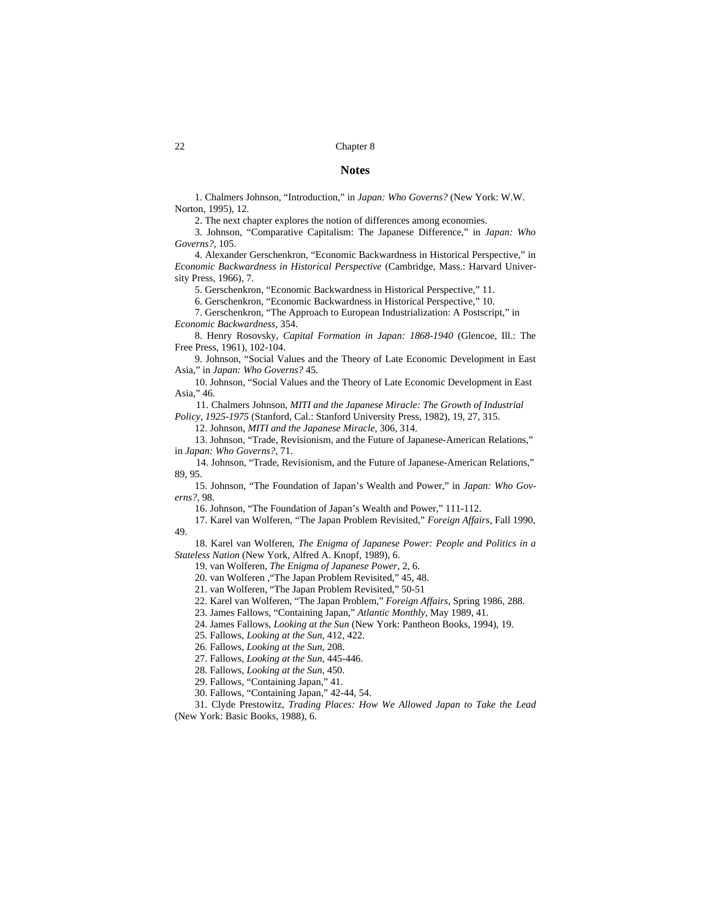#### **Notes**

1. Chalmers Johnson, "Introduction," in *Japan: Who Governs?* (New York: W.W. Norton, 1995), 12.

2. The next chapter explores the notion of differences among economies.

3. Johnson, "Comparative Capitalism: The Japanese Difference," in *Japan: Who Governs?,* 105.

4. Alexander Gerschenkron, "Economic Backwardness in Historical Perspective," in *Economic Backwardness in Historical Perspective* (Cambridge, Mass.: Harvard University Press, 1966), 7.

5. Gerschenkron, "Economic Backwardness in Historical Perspective," 11.

6. Gerschenkron, "Economic Backwardness in Historical Perspective," 10.

7. Gerschenkron, "The Approach to European Industrialization: A Postscript," in *Economic Backwardness,* 354.

8. Henry Rosovsky, *Capital Formation in Japan: 1868-1940* (Glencoe, Ill.: The Free Press, 1961), 102-104.

9. Johnson, "Social Values and the Theory of Late Economic Development in East Asia," in *Japan: Who Governs?* 45.

10. Johnson, "Social Values and the Theory of Late Economic Development in East Asia," 46.

11. Chalmers Johnson, *MITI and the Japanese Miracle: The Growth of Industrial Policy, 1925-1975* (Stanford, Cal.: Stanford University Press, 1982), 19, 27, 315.

12. Johnson, *MITI and the Japanese Miracle*, 306, 314.

13. Johnson, "Trade, Revisionism, and the Future of Japanese-American Relations," in *Japan: Who Governs?,* 71.

14. Johnson, "Trade, Revisionism, and the Future of Japanese-American Relations," 89, 95.

15. Johnson, "The Foundation of Japan's Wealth and Power," in *Japan: Who Governs?*, 98.

16. Johnson, "The Foundation of Japan's Wealth and Power," 111-112.

17. Karel van Wolferen, "The Japan Problem Revisited," *Foreign Affairs*, Fall 1990, 49.

18. Karel van Wolferen, *The Enigma of Japanese Power: People and Politics in a Stateless Nation* (New York, Alfred A. Knopf, 1989), 6.

19. van Wolferen, *The Enigma of Japanese Power*, 2, 6.

20. van Wolferen ,"The Japan Problem Revisited," 45, 48.

21. van Wolferen, "The Japan Problem Revisited," 50-51

22. Karel van Wolferen, "The Japan Problem," *Foreign Affairs*, Spring 1986, 288.

- 23. James Fallows, "Containing Japan," *Atlantic Monthly*, May 1989, 41.
- 24. James Fallows, *Looking at the Sun* (New York: Pantheon Books, 1994), 19.

25. Fallows, *Looking at the Sun*, 412, 422.

26. Fallows, *Looking at the Sun*, 208.

27. Fallows, *Looking at the Sun*, 445-446.

28. Fallows, *Looking at the Sun*, 450.

29. Fallows, "Containing Japan," 41.

30. Fallows, "Containing Japan," 42-44, 54.

31. Clyde Prestowitz, *Trading Places: How We Allowed Japan to Take the Lead* (New York: Basic Books, 1988), 6.